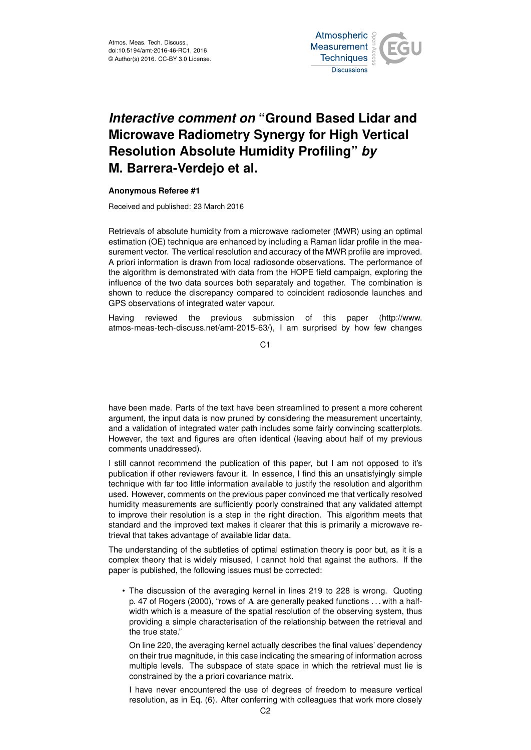

## *Interactive comment on* **"Ground Based Lidar and Microwave Radiometry Synergy for High Vertical Resolution Absolute Humidity Profiling"** *by* **M. Barrera-Verdejo et al.**

## **Anonymous Referee #1**

Received and published: 23 March 2016

Retrievals of absolute humidity from a microwave radiometer (MWR) using an optimal estimation (OE) technique are enhanced by including a Raman lidar profile in the measurement vector. The vertical resolution and accuracy of the MWR profile are improved. A priori information is drawn from local radiosonde observations. The performance of the algorithm is demonstrated with data from the HOPE field campaign, exploring the influence of the two data sources both separately and together. The combination is shown to reduce the discrepancy compared to coincident radiosonde launches and GPS observations of integrated water vapour.

Having reviewed the previous submission of this paper (http://www. atmos-meas-tech-discuss.net/amt-2015-63/), I am surprised by how few changes

C1

have been made. Parts of the text have been streamlined to present a more coherent argument, the input data is now pruned by considering the measurement uncertainty, and a validation of integrated water path includes some fairly convincing scatterplots. However, the text and figures are often identical (leaving about half of my previous comments unaddressed).

I still cannot recommend the publication of this paper, but I am not opposed to it's publication if other reviewers favour it. In essence, I find this an unsatisfyingly simple technique with far too little information available to justify the resolution and algorithm used. However, comments on the previous paper convinced me that vertically resolved humidity measurements are sufficiently poorly constrained that any validated attempt to improve their resolution is a step in the right direction. This algorithm meets that standard and the improved text makes it clearer that this is primarily a microwave retrieval that takes advantage of available lidar data.

The understanding of the subtleties of optimal estimation theory is poor but, as it is a complex theory that is widely misused, I cannot hold that against the authors. If the paper is published, the following issues must be corrected:

• The discussion of the averaging kernel in lines 219 to 228 is wrong. Quoting p. 47 of Rogers (2000), "rows of A are generally peaked functions . . . with a halfwidth which is a measure of the spatial resolution of the observing system, thus providing a simple characterisation of the relationship between the retrieval and the true state."

On line 220, the averaging kernel actually describes the final values' dependency on their true magnitude, in this case indicating the smearing of information across multiple levels. The subspace of state space in which the retrieval must lie is constrained by the a priori covariance matrix.

I have never encountered the use of degrees of freedom to measure vertical resolution, as in Eq. (6). After conferring with colleagues that work more closely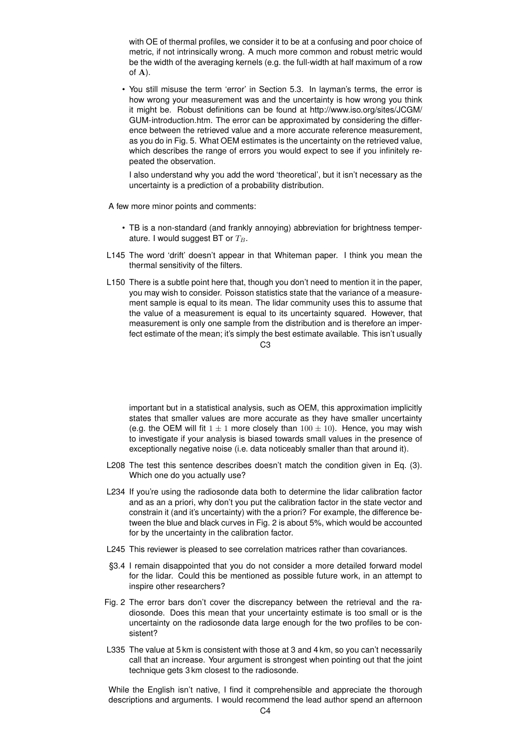with OE of thermal profiles, we consider it to be at a confusing and poor choice of metric, if not intrinsically wrong. A much more common and robust metric would be the width of the averaging kernels (e.g. the full-width at half maximum of a row of A).

• You still misuse the term 'error' in Section 5.3. In layman's terms, the error is how wrong your measurement was and the uncertainty is how wrong you think it might be. Robust definitions can be found at http://www.iso.org/sites/JCGM/ GUM-introduction.htm. The error can be approximated by considering the difference between the retrieved value and a more accurate reference measurement, as you do in Fig. 5. What OEM estimates is the uncertainty on the retrieved value, which describes the range of errors you would expect to see if you infinitely repeated the observation.

I also understand why you add the word 'theoretical', but it isn't necessary as the uncertainty is a prediction of a probability distribution.

A few more minor points and comments:

- TB is a non-standard (and frankly annoying) abbreviation for brightness temperature. I would suggest BT or  $T_B$ .
- L145 The word 'drift' doesn't appear in that Whiteman paper. I think you mean the thermal sensitivity of the filters.
- L150 There is a subtle point here that, though you don't need to mention it in the paper. you may wish to consider. Poisson statistics state that the variance of a measurement sample is equal to its mean. The lidar community uses this to assume that the value of a measurement is equal to its uncertainty squared. However, that measurement is only one sample from the distribution and is therefore an imperfect estimate of the mean; it's simply the best estimate available. This isn't usually

 $C<sub>3</sub>$ 

important but in a statistical analysis, such as OEM, this approximation implicitly states that smaller values are more accurate as they have smaller uncertainty (e.g. the OEM will fit  $1 \pm 1$  more closely than  $100 \pm 10$ ). Hence, you may wish to investigate if your analysis is biased towards small values in the presence of exceptionally negative noise (i.e. data noticeably smaller than that around it).

- L208 The test this sentence describes doesn't match the condition given in Eq. (3). Which one do you actually use?
- L234 If you're using the radiosonde data both to determine the lidar calibration factor and as an a priori, why don't you put the calibration factor in the state vector and constrain it (and it's uncertainty) with the a priori? For example, the difference between the blue and black curves in Fig. 2 is about 5%, which would be accounted for by the uncertainty in the calibration factor.
- L245 This reviewer is pleased to see correlation matrices rather than covariances.
- §3.4 I remain disappointed that you do not consider a more detailed forward model for the lidar. Could this be mentioned as possible future work, in an attempt to inspire other researchers?
- Fig. 2 The error bars don't cover the discrepancy between the retrieval and the radiosonde. Does this mean that your uncertainty estimate is too small or is the uncertainty on the radiosonde data large enough for the two profiles to be consistent?
- L335 The value at 5 km is consistent with those at 3 and 4 km, so you can't necessarily call that an increase. Your argument is strongest when pointing out that the joint technique gets 3 km closest to the radiosonde.

While the English isn't native, I find it comprehensible and appreciate the thorough descriptions and arguments. I would recommend the lead author spend an afternoon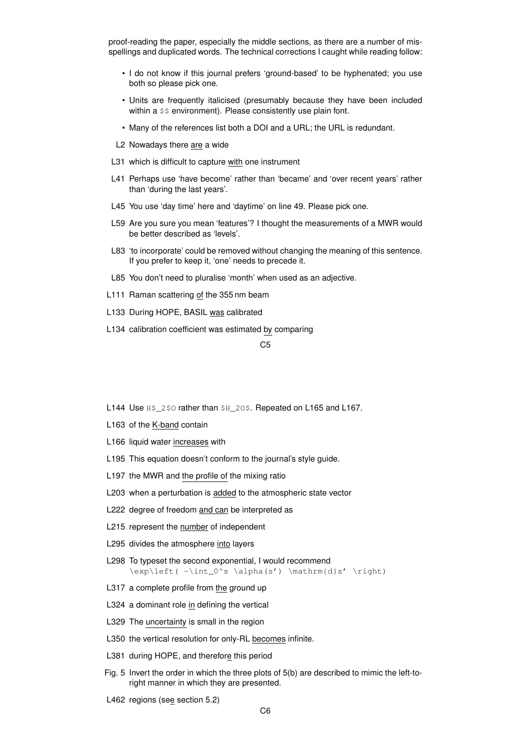proof-reading the paper, especially the middle sections, as there are a number of misspellings and duplicated words. The technical corrections I caught while reading follow:

- I do not know if this journal prefers 'ground-based' to be hyphenated; you use both so please pick one.
- Units are frequently italicised (presumably because they have been included within a  $$$  environment). Please consistently use plain font.
- Many of the references list both a DOI and a URL; the URL is redundant.
- L2 Nowadays there are a wide
- L31 which is difficult to capture with one instrument
- L41 Perhaps use 'have become' rather than 'became' and 'over recent years' rather than 'during the last years'.
- L45 You use 'day time' here and 'daytime' on line 49. Please pick one.
- L59 Are you sure you mean 'features'? I thought the measurements of a MWR would be better described as 'levels'.
- L83 'to incorporate' could be removed without changing the meaning of this sentence. If you prefer to keep it, 'one' needs to precede it.
- L85 You don't need to pluralise 'month' when used as an adjective.
- L111 Raman scattering of the 355 nm beam
- L133 During HOPE, BASIL was calibrated
- L134 calibration coefficient was estimated by comparing

C5

- L144 Use H\$\_2\$0 rather than \$H\_20\$. Repeated on L165 and L167.
- L163 of the K-band contain
- L166 liquid water increases with
- L195 This equation doesn't conform to the journal's style guide.
- L197 the MWR and the profile of the mixing ratio
- L203 when a perturbation is added to the atmospheric state vector
- L222 degree of freedom and can be interpreted as
- L215 represent the number of independent
- L295 divides the atmosphere into layers
- L298 To typeset the second exponential, I would recommend  $\exp\left(-\int_0^s \alpha(s') \mathrm{d}s' \right)$
- L317 a complete profile from the ground up
- L324 a dominant role in defining the vertical
- L329 The uncertainty is small in the region
- L350 the vertical resolution for only-RL becomes infinite.
- L381 during HOPE, and therefore this period
- Fig. 5 Invert the order in which the three plots of 5(b) are described to mimic the left-toright manner in which they are presented.
- L462 regions (see section 5.2)